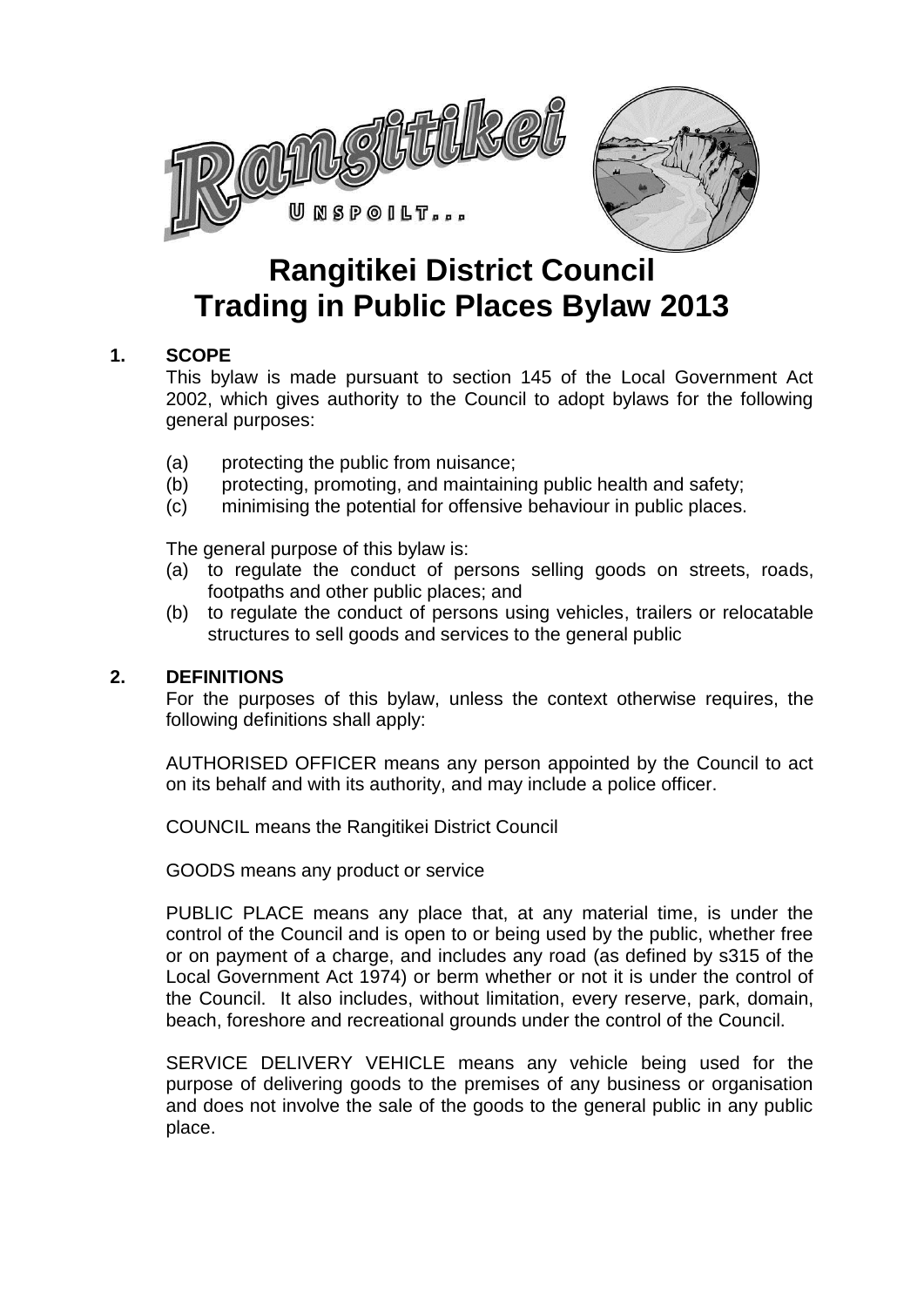

# **Rangitikei District Council Trading in Public Places Bylaw 2013**

## **1. SCOPE**

This bylaw is made pursuant to section 145 of the Local Government Act 2002, which gives authority to the Council to adopt bylaws for the following general purposes:

- (a) protecting the public from nuisance;
- (b) protecting, promoting, and maintaining public health and safety;
- (c) minimising the potential for offensive behaviour in public places.

The general purpose of this bylaw is:

- (a) to regulate the conduct of persons selling goods on streets, roads, footpaths and other public places; and
- (b) to regulate the conduct of persons using vehicles, trailers or relocatable structures to sell goods and services to the general public

#### **2. DEFINITIONS**

For the purposes of this bylaw, unless the context otherwise requires, the following definitions shall apply:

AUTHORISED OFFICER means any person appointed by the Council to act on its behalf and with its authority, and may include a police officer.

COUNCIL means the Rangitikei District Council

GOODS means any product or service

PUBLIC PLACE means any place that, at any material time, is under the control of the Council and is open to or being used by the public, whether free or on payment of a charge, and includes any road (as defined by s315 of the Local Government Act 1974) or berm whether or not it is under the control of the Council. It also includes, without limitation, every reserve, park, domain, beach, foreshore and recreational grounds under the control of the Council.

SERVICE DELIVERY VEHICLE means any vehicle being used for the purpose of delivering goods to the premises of any business or organisation and does not involve the sale of the goods to the general public in any public place.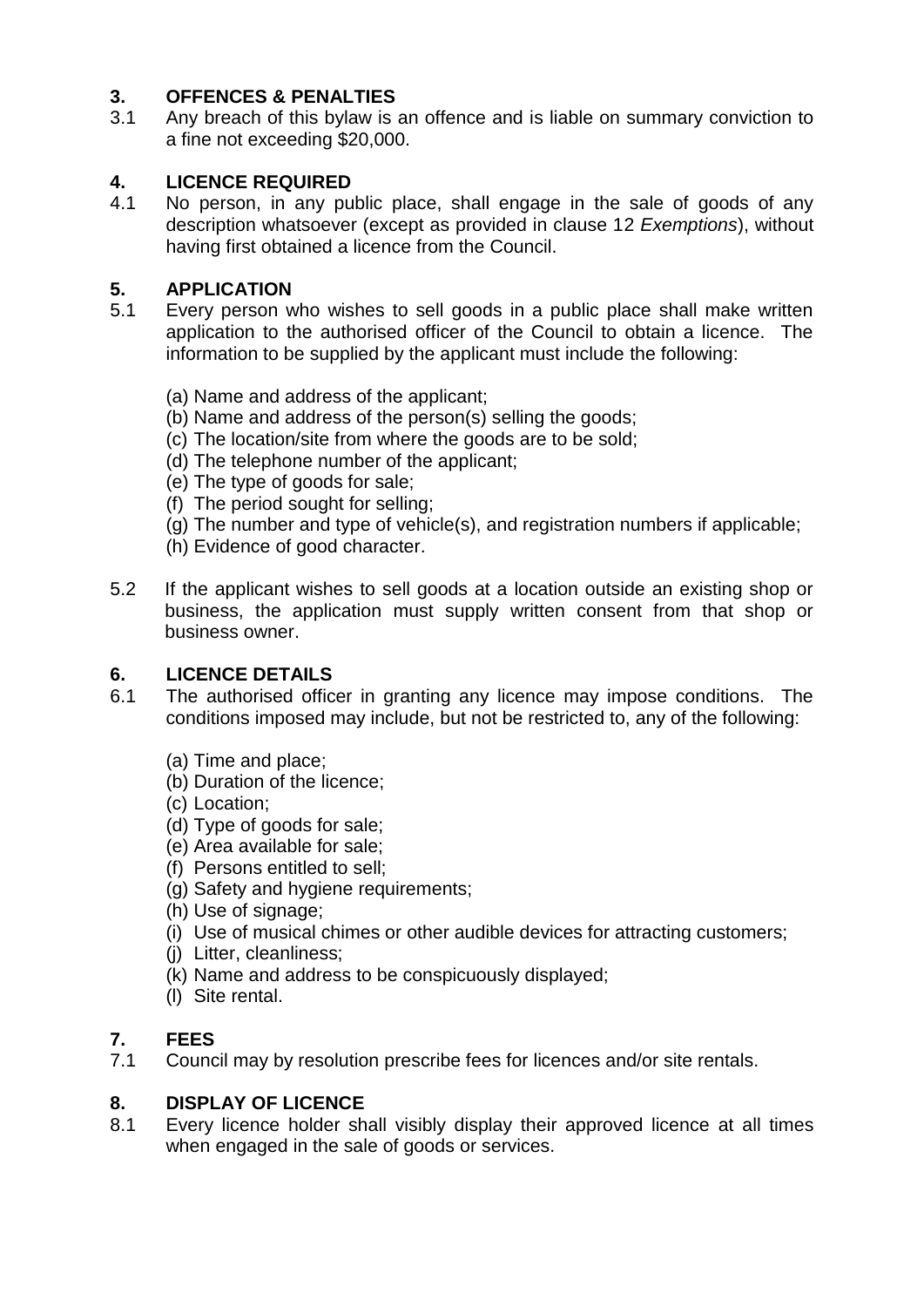## **3. OFFENCES & PENALTIES**

3.1 Any breach of this bylaw is an offence and is liable on summary conviction to a fine not exceeding \$20,000.

# **4. LICENCE REQUIRED**

4.1 No person, in any public place, shall engage in the sale of goods of any description whatsoever (except as provided in clause 12 *Exemptions*), without having first obtained a licence from the Council.

## **5. APPLICATION**

- 5.1 Every person who wishes to sell goods in a public place shall make written application to the authorised officer of the Council to obtain a licence. The information to be supplied by the applicant must include the following:
	- (a) Name and address of the applicant;
	- (b) Name and address of the person(s) selling the goods;
	- (c) The location/site from where the goods are to be sold;
	- (d) The telephone number of the applicant;
	- (e) The type of goods for sale;
	- (f) The period sought for selling;
	- (g) The number and type of vehicle(s), and registration numbers if applicable;
	- (h) Evidence of good character.
- 5.2 If the applicant wishes to sell goods at a location outside an existing shop or business, the application must supply written consent from that shop or business owner.

## **6. LICENCE DETAILS**

- 6.1 The authorised officer in granting any licence may impose conditions. The conditions imposed may include, but not be restricted to, any of the following:
	- (a) Time and place;
	- (b) Duration of the licence;
	- (c) Location;
	- (d) Type of goods for sale;
	- (e) Area available for sale;
	- (f) Persons entitled to sell;
	- (g) Safety and hygiene requirements;
	- (h) Use of signage;
	- (i) Use of musical chimes or other audible devices for attracting customers;
	- (j) Litter, cleanliness;
	- (k) Name and address to be conspicuously displayed;
	- (l) Site rental.

## **7. FEES**

7.1 Council may by resolution prescribe fees for licences and/or site rentals.

## **8. DISPLAY OF LICENCE**

8.1 Every licence holder shall visibly display their approved licence at all times when engaged in the sale of goods or services.